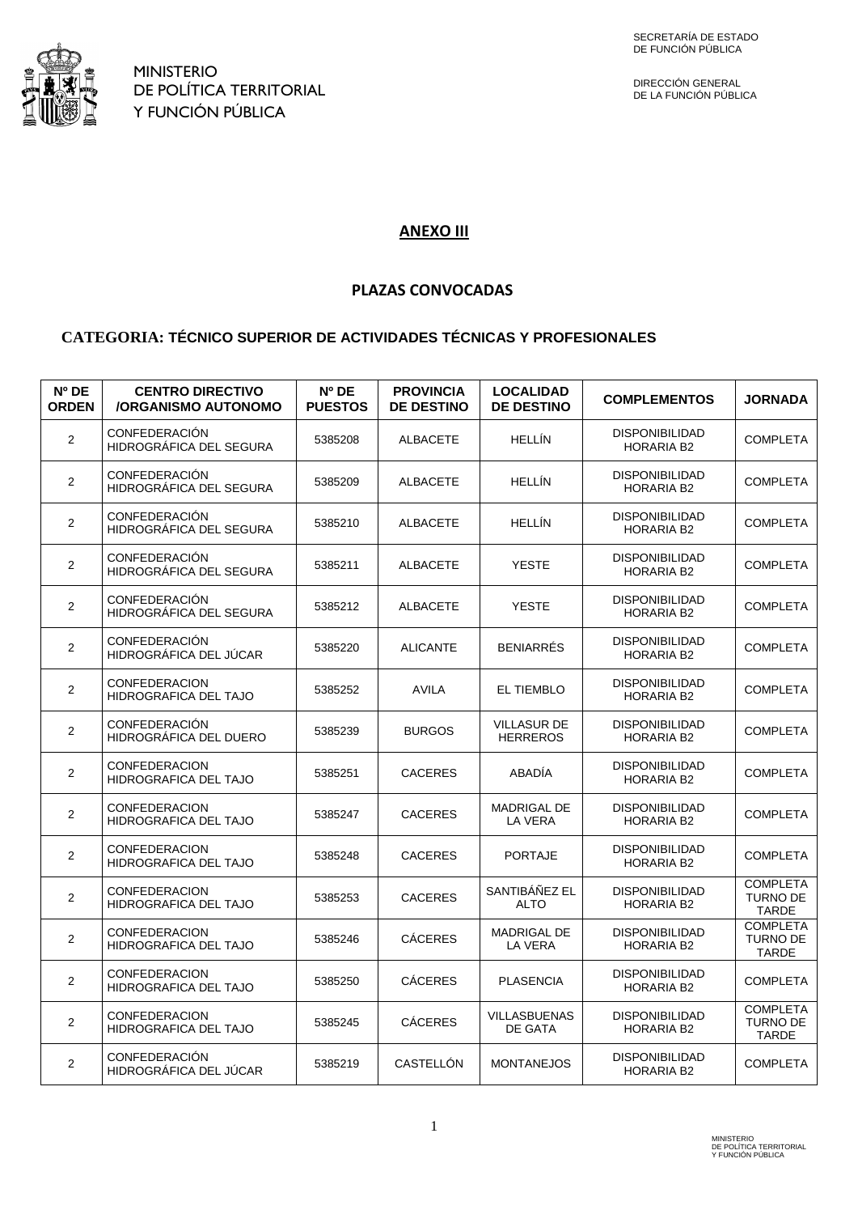

DIRECCIÓN GENERAL DE LA FUNCIÓN PÚBLICA

## **ANEXO III**

## **PLAZAS CONVOCADAS**

## **CATEGORIA: TÉCNICO SUPERIOR DE ACTIVIDADES TÉCNICAS Y PROFESIONALES**

| $N^{\circ}$ DE<br><b>ORDEN</b> | <b>CENTRO DIRECTIVO</b><br><b>/ORGANISMO AUTONOMO</b> | Nº DE<br><b>PUESTOS</b> | <b>PROVINCIA</b><br><b>DE DESTINO</b> | <b>LOCALIDAD</b><br><b>DE DESTINO</b> | <b>COMPLEMENTOS</b>                        | <b>JORNADA</b>                                     |
|--------------------------------|-------------------------------------------------------|-------------------------|---------------------------------------|---------------------------------------|--------------------------------------------|----------------------------------------------------|
| $\overline{\mathbf{c}}$        | <b>CONFEDERACIÓN</b><br>HIDROGRÁFICA DEL SEGURA       | 5385208                 | <b>ALBACETE</b>                       | <b>HELLÍN</b>                         | DISPONIBILIDAD<br><b>HORARIA B2</b>        | <b>COMPLETA</b>                                    |
| $\overline{2}$                 | <b>CONFEDERACIÓN</b><br>HIDROGRÁFICA DEL SEGURA       | 5385209                 | <b>ALBACETE</b>                       | <b>HELLÍN</b>                         | <b>DISPONIBILIDAD</b><br>HORARIA B2        | <b>COMPLETA</b>                                    |
| $\overline{2}$                 | <b>CONFEDERACIÓN</b><br>HIDROGRÁFICA DEL SEGURA       | 5385210                 | <b>ALBACETE</b>                       | <b>HELLIN</b>                         | <b>DISPONIBILIDAD</b><br><b>HORARIA B2</b> | <b>COMPLETA</b>                                    |
| 2                              | CONFEDERACIÓN<br>HIDROGRÁFICA DEL SEGURA              | 5385211                 | <b>ALBACETE</b>                       | <b>YESTE</b>                          | <b>DISPONIBILIDAD</b><br><b>HORARIA B2</b> | <b>COMPLETA</b>                                    |
| 2                              | <b>CONFEDERACIÓN</b><br>HIDROGRÁFICA DEL SEGURA       | 5385212                 | <b>ALBACETE</b>                       | <b>YESTE</b>                          | <b>DISPONIBILIDAD</b><br>HORARIA B2        | <b>COMPLETA</b>                                    |
| $\overline{2}$                 | CONFEDERACIÓN<br>HIDROGRÁFICA DEL JÚCAR               | 5385220                 | <b>ALICANTE</b>                       | <b>BENIARRES</b>                      | <b>DISPONIBILIDAD</b><br><b>HORARIA B2</b> | <b>COMPLETA</b>                                    |
| $\overline{2}$                 | <b>CONFEDERACION</b><br>HIDROGRAFICA DEL TAJO         | 5385252                 | <b>AVILA</b>                          | <b>EL TIEMBLO</b>                     | <b>DISPONIBILIDAD</b><br><b>HORARIA B2</b> | <b>COMPLETA</b>                                    |
| $\overline{2}$                 | <b>CONFEDERACIÓN</b><br>HIDROGRÁFICA DEL DUERO        | 5385239                 | <b>BURGOS</b>                         | <b>VILLASUR DE</b><br><b>HERREROS</b> | <b>DISPONIBILIDAD</b><br><b>HORARIA B2</b> | <b>COMPLETA</b>                                    |
| 2                              | <b>CONFEDERACION</b><br>HIDROGRAFICA DEL TAJO         | 5385251                 | <b>CACERES</b>                        | <b>ABADÍA</b>                         | <b>DISPONIBILIDAD</b><br><b>HORARIA B2</b> | <b>COMPLETA</b>                                    |
| 2                              | <b>CONFEDERACION</b><br>HIDROGRAFICA DEL TAJO         | 5385247                 | <b>CACERES</b>                        | <b>MADRIGAL DE</b><br>LA VERA         | <b>DISPONIBILIDAD</b><br><b>HORARIA B2</b> | <b>COMPLETA</b>                                    |
| 2                              | <b>CONFEDERACION</b><br>HIDROGRAFICA DEL TAJO         | 5385248                 | <b>CACERES</b>                        | <b>PORTAJE</b>                        | <b>DISPONIBILIDAD</b><br><b>HORARIA B2</b> | <b>COMPLETA</b>                                    |
| $\overline{\mathbf{c}}$        | <b>CONFEDERACION</b><br>HIDROGRAFICA DEL TAJO         | 5385253                 | <b>CACERES</b>                        | SANTIBÁÑEZ EL<br><b>ALTO</b>          | <b>DISPONIBILIDAD</b><br><b>HORARIA B2</b> | <b>COMPLETA</b><br><b>TURNO DE</b><br><b>TARDE</b> |
| $\overline{2}$                 | <b>CONFEDERACION</b><br>HIDROGRAFICA DEL TAJO         | 5385246                 | <b>CÁCERES</b>                        | <b>MADRIGAL DE</b><br>LA VERA         | <b>DISPONIBILIDAD</b><br><b>HORARIA B2</b> | <b>COMPLETA</b><br><b>TURNO DE</b><br><b>TARDE</b> |
| 2                              | <b>CONFEDERACION</b><br>HIDROGRAFICA DEL TAJO         | 5385250                 | <b>CÁCERES</b>                        | <b>PLASENCIA</b>                      | <b>DISPONIBILIDAD</b><br><b>HORARIA B2</b> | <b>COMPLETA</b>                                    |
| 2                              | CONFEDERACION<br>HIDROGRAFICA DEL TAJO                | 5385245                 | <b>CÁCERES</b>                        | <b>VILLASBUENAS</b><br>DE GATA        | <b>DISPONIBILIDAD</b><br><b>HORARIA B2</b> | <b>COMPLETA</b><br>TURNO DE<br><b>TARDE</b>        |
| $\overline{2}$                 | <b>CONFEDERACIÓN</b><br>HIDROGRÁFICA DEL JÚCAR        | 5385219                 | CASTELLÓN                             | <b>MONTANEJOS</b>                     | <b>DISPONIBILIDAD</b><br><b>HORARIA B2</b> | <b>COMPLETA</b>                                    |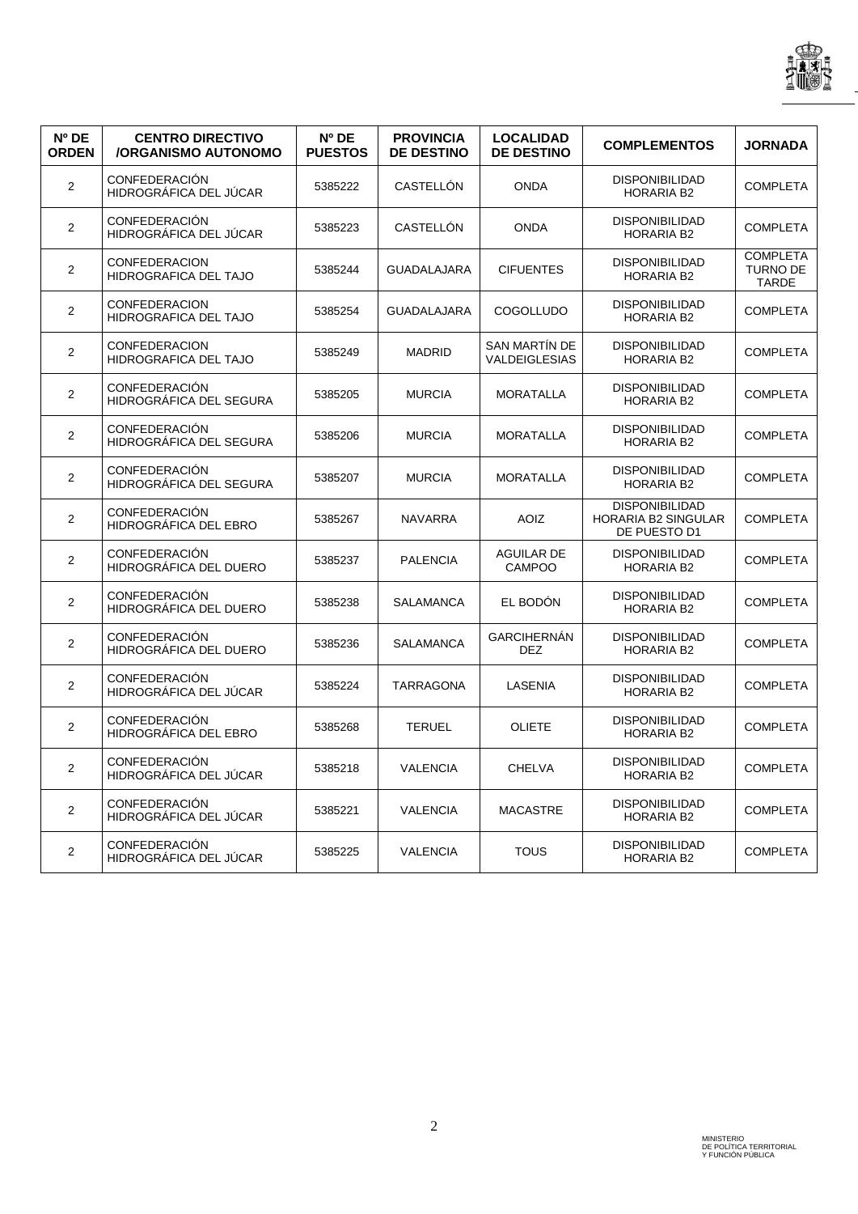

| Nº DE<br><b>ORDEN</b>   | <b>CENTRO DIRECTIVO</b><br><b>/ORGANISMO AUTONOMO</b> | $N^{\circ}$ DE<br><b>PUESTOS</b> | <b>PROVINCIA</b><br><b>DE DESTINO</b> | <b>LOCALIDAD</b><br><b>DE DESTINO</b>        | <b>COMPLEMENTOS</b>                                                 | <b>JORNADA</b>                                     |
|-------------------------|-------------------------------------------------------|----------------------------------|---------------------------------------|----------------------------------------------|---------------------------------------------------------------------|----------------------------------------------------|
| $\overline{\mathbf{c}}$ | <b>CONFEDERACIÓN</b><br>HIDROGRÁFICA DEL JÚCAR        | 5385222                          | CASTELLÓN                             | <b>ONDA</b>                                  | <b>DISPONIBILIDAD</b><br><b>HORARIA B2</b>                          | <b>COMPLETA</b>                                    |
| $\overline{2}$          | <b>CONFEDERACIÓN</b><br>HIDROGRÁFICA DEL JÚCAR        | 5385223                          | CASTELLÓN                             | <b>ONDA</b>                                  | <b>DISPONIBILIDAD</b><br><b>HORARIA B2</b>                          | <b>COMPLETA</b>                                    |
| $\overline{2}$          | CONFEDERACION<br>HIDROGRAFICA DEL TAJO                | 5385244                          | <b>GUADALAJARA</b>                    | <b>CIFUENTES</b>                             | <b>DISPONIBILIDAD</b><br><b>HORARIA B2</b>                          | <b>COMPLETA</b><br><b>TURNO DE</b><br><b>TARDE</b> |
| $\overline{2}$          | <b>CONFEDERACION</b><br>HIDROGRAFICA DEL TAJO         | 5385254                          | <b>GUADALAJARA</b>                    | <b>COGOLLUDO</b>                             | <b>DISPONIBILIDAD</b><br><b>HORARIA B2</b>                          | <b>COMPLETA</b>                                    |
| $\mathbf{2}$            | <b>CONFEDERACION</b><br>HIDROGRAFICA DEL TAJO         | 5385249                          | <b>MADRID</b>                         | <b>SAN MARTÍN DE</b><br><b>VALDEIGLESIAS</b> | <b>DISPONIBILIDAD</b><br><b>HORARIA B2</b>                          | <b>COMPLETA</b>                                    |
| $\overline{2}$          | <b>CONFEDERACIÓN</b><br>HIDROGRÁFICA DEL SEGURA       | 5385205                          | <b>MURCIA</b>                         | <b>MORATALLA</b>                             | <b>DISPONIBILIDAD</b><br><b>HORARIA B2</b>                          | <b>COMPLETA</b>                                    |
| $\mathbf{2}$            | <b>CONFEDERACIÓN</b><br>HIDROGRÁFICA DEL SEGURA       | 5385206                          | <b>MURCIA</b>                         | <b>MORATALLA</b>                             | <b>DISPONIBILIDAD</b><br><b>HORARIA B2</b>                          | <b>COMPLETA</b>                                    |
| $\mathbf{2}$            | <b>CONFEDERACIÓN</b><br>HIDROGRÁFICA DEL SEGURA       | 5385207                          | <b>MURCIA</b>                         | <b>MORATALLA</b>                             | <b>DISPONIBILIDAD</b><br><b>HORARIA B2</b>                          | <b>COMPLETA</b>                                    |
| $\overline{2}$          | <b>CONFEDERACIÓN</b><br>HIDROGRÁFICA DEL EBRO         | 5385267                          | <b>NAVARRA</b>                        | <b>AOIZ</b>                                  | <b>DISPONIBILIDAD</b><br><b>HORARIA B2 SINGULAR</b><br>DE PUESTO D1 | <b>COMPLETA</b>                                    |
| $\mathbf{2}$            | <b>CONFEDERACIÓN</b><br>HIDROGRÁFICA DEL DUERO        | 5385237                          | <b>PALENCIA</b>                       | <b>AGUILAR DE</b><br>CAMPOO                  | <b>DISPONIBILIDAD</b><br><b>HORARIA B2</b>                          | <b>COMPLETA</b>                                    |
| $\mathbf{2}$            | <b>CONFEDERACIÓN</b><br>HIDROGRÁFICA DEL DUERO        | 5385238                          | SALAMANCA                             | EL BODÓN                                     | <b>DISPONIBILIDAD</b><br><b>HORARIA B2</b>                          | <b>COMPLETA</b>                                    |
| $\overline{2}$          | <b>CONFEDERACIÓN</b><br>HIDROGRÁFICA DEL DUERO        | 5385236                          | <b>SALAMANCA</b>                      | <b>GARCIHERNÁN</b><br>DEZ                    | <b>DISPONIBILIDAD</b><br><b>HORARIA B2</b>                          | <b>COMPLETA</b>                                    |
| $\mathbf{2}$            | <b>CONFEDERACIÓN</b><br>HIDROGRÁFICA DEL JÚCAR        | 5385224                          | <b>TARRAGONA</b>                      | LASENIA                                      | <b>DISPONIBILIDAD</b><br><b>HORARIA B2</b>                          | <b>COMPLETA</b>                                    |
| $\overline{2}$          | <b>CONFEDERACIÓN</b><br>HIDROGRÁFICA DEL EBRO         | 5385268                          | <b>TERUEL</b>                         | <b>OLIETE</b>                                | <b>DISPONIBILIDAD</b><br><b>HORARIA B2</b>                          | <b>COMPLETA</b>                                    |
| $\overline{2}$          | <b>CONFEDERACIÓN</b><br>HIDROGRÁFICA DEL JÚCAR        | 5385218                          | <b>VALENCIA</b>                       | <b>CHELVA</b>                                | <b>DISPONIBILIDAD</b><br><b>HORARIA B2</b>                          | <b>COMPLETA</b>                                    |
| $\mathbf{2}$            | <b>CONFEDERACIÓN</b><br>HIDROGRÁFICA DEL JÚCAR        | 5385221                          | <b>VALENCIA</b>                       | <b>MACASTRE</b>                              | <b>DISPONIBILIDAD</b><br><b>HORARIA B2</b>                          | <b>COMPLETA</b>                                    |
| $\mathbf{2}$            | <b>CONFEDERACIÓN</b><br>HIDROGRÁFICA DEL JÚCAR        | 5385225                          | <b>VALENCIA</b>                       | <b>TOUS</b>                                  | <b>DISPONIBILIDAD</b><br><b>HORARIA B2</b>                          | <b>COMPLETA</b>                                    |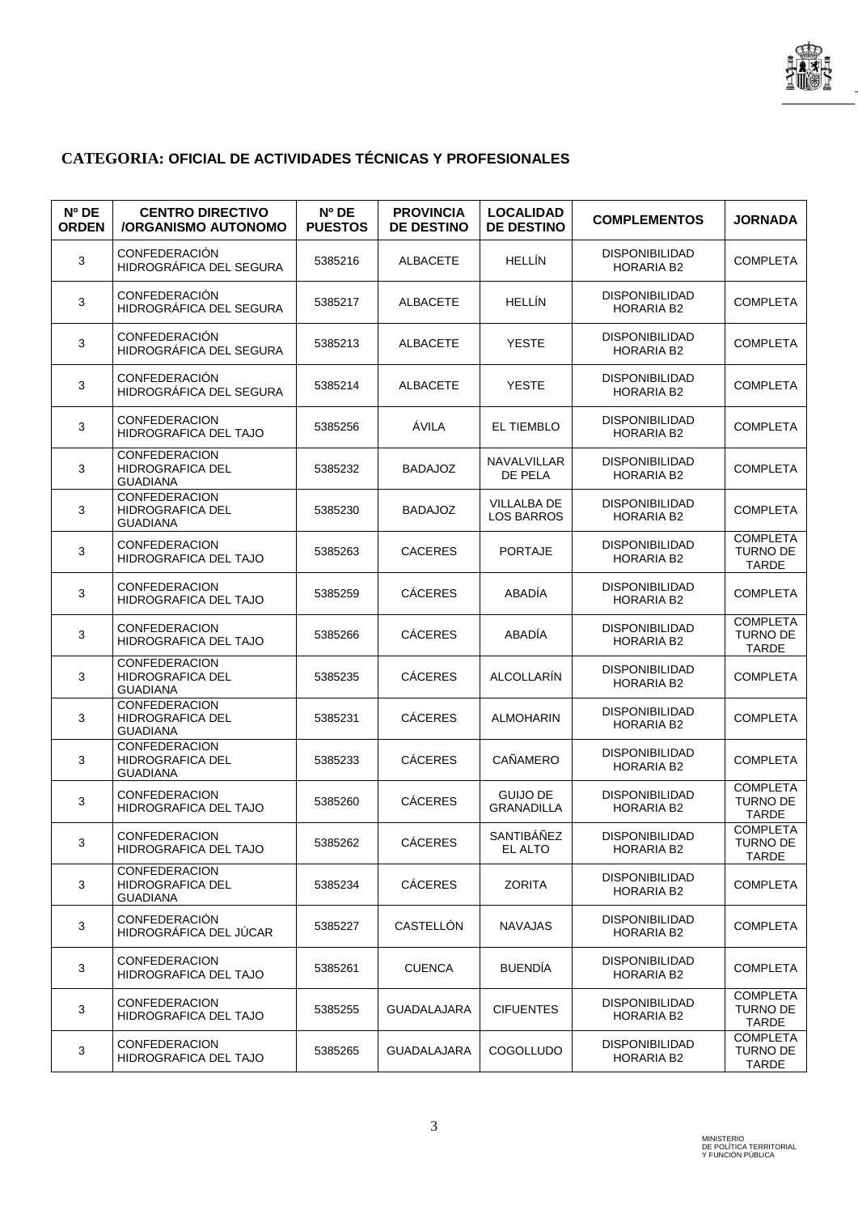

## **CATEGORIA: OFICIAL DE ACTIVIDADES TÉCNICAS Y PROFESIONALES**

| Nº DE<br><b>ORDEN</b> | <b>CENTRO DIRECTIVO</b><br><b>/ORGANISMO AUTONOMO</b>              | Nº DE<br><b>PUESTOS</b> | <b>PROVINCIA</b><br><b>DE DESTINO</b> | <b>LOCALIDAD</b><br><b>DE DESTINO</b> | <b>COMPLEMENTOS</b>                        | <b>JORNADA</b>                                     |
|-----------------------|--------------------------------------------------------------------|-------------------------|---------------------------------------|---------------------------------------|--------------------------------------------|----------------------------------------------------|
| 3                     | CONFEDERACIÓN<br>HIDROGRÁFICA DEL SEGURA                           | 5385216                 | <b>ALBACETE</b>                       | <b>HELLIN</b>                         | <b>DISPONIBILIDAD</b><br>HORARIA B2        | <b>COMPLETA</b>                                    |
| 3                     | <b>CONFEDERACIÓN</b><br>HIDROGRÁFICA DEL SEGURA                    | 5385217                 | <b>ALBACETE</b>                       | <b>HELLÍN</b>                         | <b>DISPONIBILIDAD</b><br>HORARIA B2        | <b>COMPLETA</b>                                    |
| 3                     | <b>CONFEDERACIÓN</b><br>HIDROGRÁFICA DEL SEGURA                    | 5385213                 | <b>ALBACETE</b>                       | YESTE                                 | <b>DISPONIBILIDAD</b><br>HORARIA B2        | <b>COMPLETA</b>                                    |
| 3                     | CONFEDERACIÓN<br>HIDROGRAFICA DEL SEGURA                           | 5385214                 | <b>ALBACETE</b>                       | <b>YESTE</b>                          | <b>DISPONIBILIDAD</b><br><b>HORARIA B2</b> | <b>COMPLETA</b>                                    |
| 3                     | <b>CONFEDERACION</b><br>HIDROGRAFICA DEL TAJO                      | 5385256                 | ÁVILA                                 | EL TIEMBLO                            | <b>DISPONIBILIDAD</b><br>HORARIA B2        | <b>COMPLETA</b>                                    |
| 3                     | <b>CONFEDERACION</b><br>HIDROGRAFICA DEL<br><b>GUADIANA</b>        | 5385232                 | <b>BADAJOZ</b>                        | NAVALVILLAR<br>DE PELA                | <b>DISPONIBILIDAD</b><br>HORARIA B2        | <b>COMPLETA</b>                                    |
| 3                     | CONFEDERACION<br>HIDROGRAFICA DEL<br><b>GUADIANA</b>               | 5385230                 | <b>BADAJOZ</b>                        | <b>VILLALBA DE</b><br>LOS BARROS      | <b>DISPONIBILIDAD</b><br><b>HORARIA B2</b> | <b>COMPLETA</b>                                    |
| 3                     | <b>CONFEDERACION</b><br><b>HIDROGRAFICA DEL TAJO</b>               | 5385263                 | <b>CACERES</b>                        | <b>PORTAJE</b>                        | <b>DISPONIBILIDAD</b><br>HORARIA B2        | <b>COMPLETA</b><br><b>TURNO DE</b><br>TARDE        |
| 3                     | <b>CONFEDERACION</b><br>HIDROGRAFICA DEL TAJO                      | 5385259                 | <b>CÁCERES</b>                        | <b>ABADÍA</b>                         | <b>DISPONIBILIDAD</b><br><b>HORARIA B2</b> | <b>COMPLETA</b>                                    |
| 3                     | <b>CONFEDERACION</b><br>HIDROGRAFICA DEL TAJO                      | 5385266                 | <b>CÁCERES</b>                        | ABADÍA                                | <b>DISPONIBILIDAD</b><br><b>HORARIA B2</b> | <b>COMPLETA</b><br><b>TURNO DE</b><br><b>TARDE</b> |
| 3                     | CONFEDERACION<br><b>HIDROGRAFICA DEL</b><br><b>GUADIANA</b>        | 5385235                 | <b>CÁCERES</b>                        | ALCOLLARÍN                            | <b>DISPONIBILIDAD</b><br>HORARIA B2        | <b>COMPLETA</b>                                    |
| 3                     | <b>CONFEDERACION</b><br><b>HIDROGRAFICA DEL</b><br><b>GUADIANA</b> | 5385231                 | <b>CÁCERES</b>                        | <b>ALMOHARIN</b>                      | <b>DISPONIBILIDAD</b><br><b>HORARIA B2</b> | <b>COMPLETA</b>                                    |
| 3                     | <b>CONFEDERACION</b><br><b>HIDROGRAFICA DEL</b><br><b>GUADIANA</b> | 5385233                 | <b>CÁCERES</b>                        | CAÑAMERO                              | <b>DISPONIBILIDAD</b><br><b>HORARIA B2</b> | <b>COMPLETA</b>                                    |
| 3                     | <b>CONFEDERACION</b><br><b>HIDROGRAFICA DEL TAJO</b>               | 5385260                 | <b>CÁCERES</b>                        | <b>GUIJO DE</b><br><b>GRANADILLA</b>  | <b>DISPONIBILIDAD</b><br>HORARIA B2        | <b>COMPLETA</b><br><b>TURNO DE</b><br><b>TARDE</b> |
| 3                     | <b>CONFEDERACION</b><br>HIDROGRAFICA DEL TAJO                      | 5385262                 | <b>CÁCERES</b>                        | SANTIBÁÑEZ<br>EL ALTO                 | <b>DISPONIBILIDAD</b><br>HORARIA B2        | <b>COMPLETA</b><br>TURNO DE<br>TARDE               |
| 3                     | <b>CONFEDERACION</b><br><b>HIDROGRAFICA DEL</b><br><b>GUADIANA</b> | 5385234                 | <b>CÁCERES</b>                        | <b>ZORITA</b>                         | <b>DISPONIBILIDAD</b><br>HORARIA B2        | <b>COMPLETA</b>                                    |
| 3                     | <b>CONFEDERACIÓN</b><br>HIDROGRÁFICA DEL JÚCAR                     | 5385227                 | CASTELLÓN                             | NAVAJAS                               | <b>DISPONIBILIDAD</b><br>HORARIA B2        | <b>COMPLETA</b>                                    |
| 3                     | <b>CONFEDERACION</b><br><b>HIDROGRAFICA DEL TAJO</b>               | 5385261                 | <b>CUENCA</b>                         | <b>BUENDÍA</b>                        | <b>DISPONIBILIDAD</b><br>HORARIA B2        | <b>COMPLETA</b>                                    |
| 3                     | <b>CONFEDERACION</b><br><b>HIDROGRAFICA DEL TAJO</b>               | 5385255                 | <b>GUADALAJARA</b>                    | <b>CIFUENTES</b>                      | <b>DISPONIBILIDAD</b><br><b>HORARIA B2</b> | <b>COMPLETA</b><br>TURNO DE<br>TARDE               |
| 3                     | <b>CONFEDERACION</b><br>HIDROGRAFICA DEL TAJO                      | 5385265                 | <b>GUADALAJARA</b>                    | <b>COGOLLUDO</b>                      | <b>DISPONIBILIDAD</b><br>HORARIA B2        | <b>COMPLETA</b><br>TURNO DE<br>TARDE               |